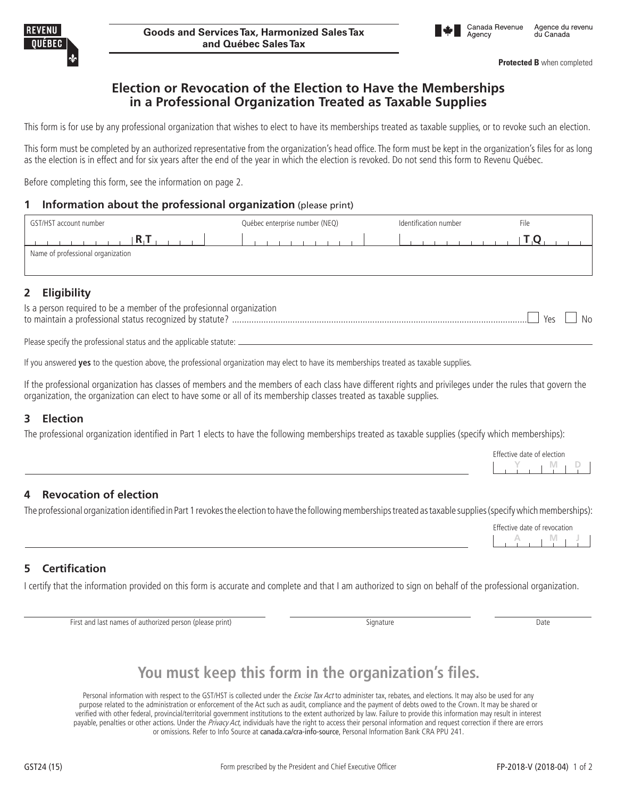**Protected B** when completed

## **Election or Revocation of the Election to Have the Memberships in a Professional Organization Treated as Taxable Supplies**

This form is for use by any professional organization that wishes to elect to have its memberships treated as taxable supplies, or to revoke such an election.

This form must be completed by an authorized representative from the organization's head office. The form must be kept in the organization's files for as long as the election is in effect and for six years after the end of the year in which the election is revoked. Do not send this form to Revenu Québec.

Before completing this form, see the information on page 2.

#### **1 Information about the professional organization** (please print)

| GST/HST account number            | Québec enterprise number (NEQ) | Identification number<br>File |  |  |  |
|-----------------------------------|--------------------------------|-------------------------------|--|--|--|
|                                   |                                |                               |  |  |  |
| Name of professional organization |                                |                               |  |  |  |

### **2 Eligibility**

| Is a person required to be a member of the profesionnal organization |          |  |
|----------------------------------------------------------------------|----------|--|
| to maintain a professional status recognized by statute?             | $Yes$ No |  |

Please specify the professional status and the applicable statute: \_

If you answered **yes** to the question above, the professional organization may elect to have its memberships treated as taxable supplies.

If the professional organization has classes of members and the members of each class have different rights and privileges under the rules that govern the organization, the organization can elect to have some or all of its membership classes treated as taxable supplies.

### **3 Election**

The professional organization identified in Part 1 elects to have the following memberships treated as taxable supplies (specify which memberships):

| Effective date of election |  |  |  |  |
|----------------------------|--|--|--|--|
|                            |  |  |  |  |
|                            |  |  |  |  |

### **4 Revocation of election**

The professional organization identified in Part 1 revokes the election to have the following memberships treated as taxable supplies (specify which memberships):

|  |  | Effective date of revocation |  |
|--|--|------------------------------|--|
|  |  |                              |  |

### **5 Certification**

I certify that the information provided on this form is accurate and complete and that I am authorized to sign on behalf of the professional organization.

First and last names of authorized person (please print) Signature Signature Cases and Date

# **You must keep this form in the organization's files.**

Personal information with respect to the GST/HST is collected under the Excise Tax Act to administer tax, rebates, and elections. It may also be used for any purpose related to the administration or enforcement of the Act such as audit, compliance and the payment of debts owed to the Crown. It may be shared or verified with other federal, provincial/territorial government institutions to the extent authorized by law. Failure to provide this information may result in interest payable, penalties or other actions. Under the Privacy Act, individuals have the right to access their personal information and request correction if there are errors or omissions. Refer to Info Source at canada.ca/cra-info-source, Personal Information Bank CRA PPU 241.